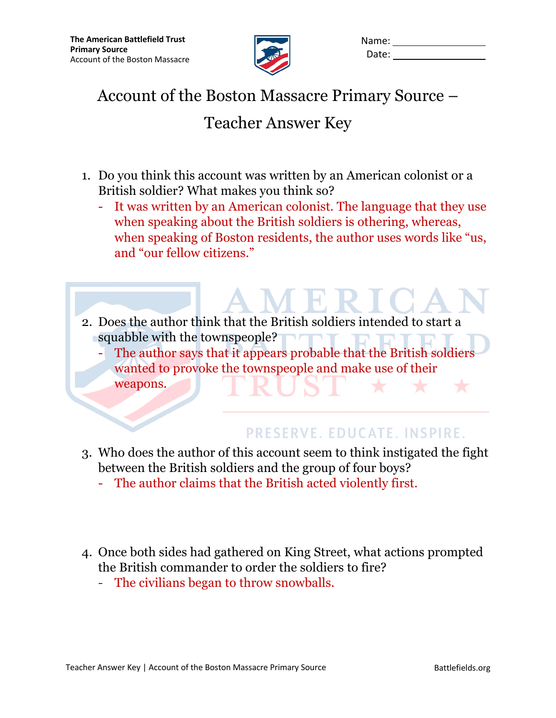

| Name: |  |
|-------|--|
| Date: |  |

## Account of the Boston Massacre Primary Source –

## Teacher Answer Key

- 1. Do you think this account was written by an American colonist or a British soldier? What makes you think so?
	- It was written by an American colonist. The language that they use when speaking about the British soldiers is othering, whereas, when speaking of Boston residents, the author uses words like "us, and "our fellow citizens."
- 2. Does the author think that the British soldiers intended to start a squabble with the townspeople?  $\blacksquare$ 
	- The author says that it appears probable that the British soldiers wanted to provoke the townspeople and make use of their weapons.

## PRESERVE. EDUCATE. INSPIRE.

- 3. Who does the author of this account seem to think instigated the fight between the British soldiers and the group of four boys?
	- The author claims that the British acted violently first.
- 4. Once both sides had gathered on King Street, what actions prompted the British commander to order the soldiers to fire?
	- The civilians began to throw snowballs.